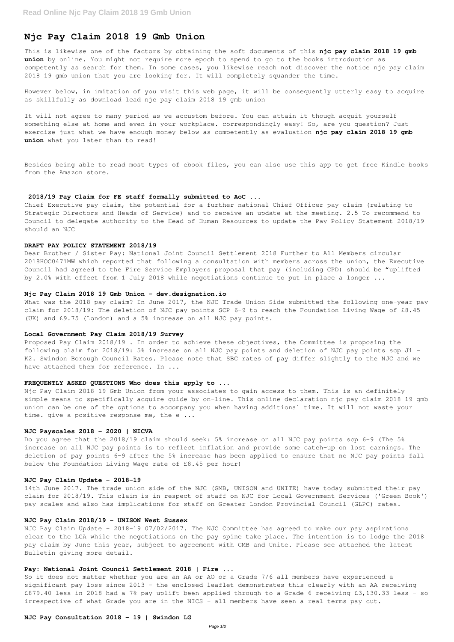# **Njc Pay Claim 2018 19 Gmb Union**

This is likewise one of the factors by obtaining the soft documents of this **njc pay claim 2018 19 gmb union** by online. You might not require more epoch to spend to go to the books introduction as competently as search for them. In some cases, you likewise reach not discover the notice njc pay claim 2018 19 gmb union that you are looking for. It will completely squander the time.

However below, in imitation of you visit this web page, it will be consequently utterly easy to acquire as skillfully as download lead njc pay claim 2018 19 gmb union

It will not agree to many period as we accustom before. You can attain it though acquit yourself something else at home and even in your workplace. correspondingly easy! So, are you question? Just exercise just what we have enough money below as competently as evaluation **njc pay claim 2018 19 gmb union** what you later than to read!

Besides being able to read most types of ebook files, you can also use this app to get free Kindle books from the Amazon store.

What was the 2018 pay claim? In June 2017, the NJC Trade Union Side submitted the following one-year pay claim for 2018/19: The deletion of NJC pay points SCP 6-9 to reach the Foundation Living Wage of £8.45 (UK) and £9.75 (London) and a 5% increase on all NJC pay points.

#### **2018/19 Pay Claim for FE staff formally submitted to AoC ...**

Proposed Pay Claim 2018/19 . In order to achieve these objectives, the Committee is proposing the following claim for 2018/19: 5% increase on all NJC pay points and deletion of NJC pay points scp J1 – K2. Swindon Borough Council Rates. Please note that SBC rates of pay differ slightly to the NJC and we have attached them for reference. In ...

Chief Executive pay claim, the potential for a further national Chief Officer pay claim (relating to Strategic Directors and Heads of Service) and to receive an update at the meeting. 2.5 To recommend to Council to delegate authority to the Head of Human Resources to update the Pay Policy Statement 2018/19 should an NJC

Njc Pay Claim 2018 19 Gmb Union from your associates to gain access to them. This is an definitely simple means to specifically acquire guide by on-line. This online declaration njc pay claim 2018 19 gmb union can be one of the options to accompany you when having additional time. It will not waste your time. give a positive response me, the e ...

## **DRAFT PAY POLICY STATEMENT 2018/19**

Dear Brother / Sister Pay: National Joint Council Settlement 2018 Further to All Members circular 2018HOC0471MW which reported that following a consultation with members across the union, the Executive Council had agreed to the Fire Service Employers proposal that pay (including CPD) should be "uplifted by 2.0% with effect from 1 July 2018 while negotiations continue to put in place a longer ...

#### **Njc Pay Claim 2018 19 Gmb Union - dev.designation.io**

NJC Pay Claim Update - 2018-19 07/02/2017. The NJC Committee has agreed to make our pay aspirations clear to the LGA while the negotiations on the pay spine take place. The intention is to lodge the 2018 pay claim by June this year, subject to agreement with GMB and Unite. Please see attached the latest Bulletin giving more detail.

So it does not matter whether you are an AA or AO or a Grade 7/6 all members have experienced a significant pay loss since 2013 - the enclosed leaflet demonstrates this clearly with an AA receiving £879.40 less in 2018 had a 7% pay uplift been applied through to a Grade 6 receiving £3,130.33 less - so irrespective of what Grade you are in the NICS - all members have seen a real terms pay cut.

#### **Local Government Pay Claim 2018/19 Survey**

### **FREQUENTLY ASKED QUESTIONS Who does this apply to ...**

#### **NJC Payscales 2018 – 2020 | NICVA**

Do you agree that the 2018/19 claim should seek: 5% increase on all NJC pay points scp 6-9 (The 5% increase on all NJC pay points is to reflect inflation and provide some catch-up on lost earnings. The deletion of pay points 6-9 after the 5% increase has been applied to ensure that no NJC pay points fall below the Foundation Living Wage rate of £8.45 per hour)

## **NJC Pay Claim Update - 2018-19**

14th June 2017. The trade union side of the NJC (GMB, UNISON and UNITE) have today submitted their pay claim for 2018/19. This claim is in respect of staff on NJC for Local Government Services ('Green Book') pay scales and also has implications for staff on Greater London Provincial Council (GLPC) rates.

## **NJC Pay Claim 2018/19 - UNISON West Sussex**

## **Pay: National Joint Council Settlement 2018 | Fire ...**

## **NJC Pay Consultation 2018 – 19 | Swindon LG**